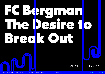# FC Bergment The Desire to Break Out



EUROPEAN JOURNAL OF THEATRE AND PERFORMANCE N° 3 SEPT 2021 ISSN: 2664-1860 PP.516-533 [HTTPS://JOURNAL.EASTAP.COM](https://journal.eastap.com)

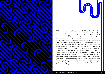

FC Bergman was founded by the actors Stef Aerts, Bart Hollanders, Matteo Simoni, and Marie Vinck together with the artist Thomas Ver straeten, who all happen to have been born between 1982 and 1987. The group knew each other from their theatre studies at Artesis Hoges chool, which was previously known as the Herman Teirlinck Institute in Antwerp (Belgium). The first production they created as a company outside the institution walls was called *The Rock-Breaker (De Rotse breker, 2007*). This play was an unusual fusion of scenes originating from Hugo Claus' work *The Life and Works of Leopold II (Het leven en de werken van Leopold II)* as well as scenes from Tom Lanoye's *Fort Europa*. Claus' text was grotesquely embellished with tacky scenes from musicals, an inflated elephant, and extras lathered in black makeup. This resulted in chaotic bursts of pleasure that were then countered with soberly recited excerpts from the *Fort Europa* text. After this first production, FC Bergman decided that they wanted to step away from their current reputation and manifest themselves as a legitimate theatre company. One year later, technical stage manager Joé Agemans joined 'Football Club' Bergman.

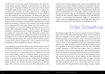wander on the enormous stage as puny people, each having their own strategy to exorcise death. Different mediums are employed in this associative sequence of tableaux: play, pyrotechnics, performance, and choreography are used alongside each other. The performance itself is also 'grand' in a literal sense as the viewers gaze is often lured skyward by the tall crane gracing the stage, the towering larger-than-life sized puppet and even by the occasional segments performed on the side balconies. However, it is the passion that lingers the longest: FC Bergman have a story to tell, with compelling urgency, even though their experience is limited and they are still in the early days of mastering their craft.

Everything changed when the group was included in the pool of theatre artists active at Toneelhuis, the municipal theatre based in Antwerp, which also happens to be the largest production company in all of Flanders. Keeping in mind that the young collective has barely been active for five years, this seemingly overnight success is cause for slight concern. There is some apprehension that their temperament will be tamed by the large production company and that FC Bergman may be recuperated by the large Toneelhuis and become more 'salonfähig' (socially acceptable). At the same time however, there is a somewhat false-romantic desire to keep the group 'pure' and retain an element of 'punk', thereby also keeping them small and powerless, as if the authenticity of an artist were measured by the scope of their suffering. Toneelhuis promises the six artists an artistic support, but most importantly offers them the technical and logistic framework and support that they need in order to realise the grandest of their ideas, dreams, and visions. The 2010 production *300 el x 50 el x 30 el* turned out to be a test case for both parties. FC Bergman built an entire village on stage, complete

In 2008 a part of the group created *The Homecoming (De thuiskomst)*, a hard-hitting, anarchist adaptation of Harold Pinter's *The Homecoming*. On top of a huge pile of rubbish, dirt, and scraps of food, Pinter's cold family drama unfolds. In this rendition, the decor is ravaged, cars are driven onto the stage, and a dirty, dialectical use of language is unabashedly employed. Not only have FC Bergman succeed at blowing away their audiences with this adaptation, *The Homecoming* also managed to win the Jong Theaterprijs prize at the Theater Aan Zee festival in 2009. In that same year, the entire company was offered residence by Monty, a theatre in Antwerp. During 2009 FC Bergman put on several smaller performances. However, the production that would become of most importance for their future artistic direction would be *A preview on fragments of a new world (Voorproef op fragmenten van een nieuwe wereld)*, which stylistically resembles *The Rock-Breaker*. *Preview* is an installation consisting of a series of theatrical machines. FC Bergman put together the construction in one week, followed by a solemn inauguration of the performance by setting it into motion in the presence of an audience on the seventh day. With sheep flying through the sky and stars falling from the heavens, this wondrous creation initially promises an ideal world, until the machines fail… The surrealistic route of this performance created possibilities for further exploration.

That exploration magnificently results in the 2009 production with the unruly name *Walking down the Champs-Elysées with a tortoise to get a better view of the world, but it is hard to drink tea on an ice floe when everyone is drunk (Wandelen op de Champs-Elysées met een schildpad om de wereld beter te kunnen bekijken, maar het is moeilijk thee drinken op een ijsschots als iedereen dronken is)*. The performance, which was inspired by Dante's *Divina Commedia*, premiered in the neo-Gothic Oude Handelsbeurs located on the Meir in Antwerp and stunned the Flemish stage with its untamed passion, raw physical directness, baroque poetry, and bold range. Five characters exercise and train their immortality as they

#### Enter Toneelhuis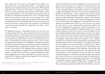The naïve belief that the world is changeable is doomed to fail, yet this failure is not the end point. It is, however, the starting point for new ventures and is beautiful to witness. Beauty is a necessary counterpoint of this seemingly pessimistic existentialist worldview concerning the struggles of humankind. The beauty of each powerless attempt to resist this fate in itself generates a sense of existence that pushes FC Bergman beyond an easily deterministic nihilism: this meaninglessness of existence is filled with belief in humankind's struggle to find meaning. By giving shape to this beauty, the company still manages to tenderly reach out and address the insignificance of humankind. This consequently has a cleansing effect. However, it does not need to go further than that: there is no way to appeal against the human condition and as such FC Bergman do not make any combative propositions to render this condition more bearable. FC Bergman chooses not to use any political statements as they do not want to slap their audience in the face but rather gently beat them to death with a story that can be understood around the world, in all countries and by every kind of audience. They present stories that can offer comfort without being moralistic. FC Bergman continuously explore this existential story in different forms that are permeated by their central premise: the realisation of the impossible and the beauty of the attempt. A choreography with dozens of extras in *Walking down the Champs-Elysées*, acting on top of a pile of dirt in *The Homecoming*, or the entire pine forest in the backdrop of the stage in *300 el* are all examples of the impossible constructions stubbornly set up by FC Bergman. By doing this, they constantly flirt with the boundaries of what is imaginable as well as feasible. It is essential that the performances are dangerous and that they keep their audience on the edge of their seat, not necessarily through the employment of physical stunts but rather by installing risky elements or by employing a considerable margin of unpredictability. Why, you might ask? The answer may be that the audience is understood as entitled to an event that is utterly unique and not repeatable. This idea of theatre as an event

with a square and a pine forest in the backdrop. The village is consumed by the fear of an approaching deluge — the inhabitants start behaving more erratically, nearing a state of psychosis. What happens inside their houses is shown to the audience on a large screen as captured by a moving camera that pans along the entire village as well as the pine forest behind it. The camera peeks into the private spaces of the interior. FC Bergman proved with *300 el x 50 el x 30 el* that the large theatre structure does not tame them but serves them. Not so much because an entire village emerges onto the stage of the Bourla Theatre,**<sup>1</sup>** including the pine forest, but mainly because these six young artists are able to get the entire technical team and the theatre's set department to realise this nearly impossible task. Apparently, the urgency of their cause is contagious.

FC Bergman's message is inseparable from the way that they convey that message. Both the content and the form aim for 'greatness'. The company prefers to work in large locations (in a minority of cases in the theatre itself) with large groups (of extras) and large gestures (such as pyrotechnics and special effects). This is not solely because they are keen on sensationalism but because what they wish to convey requires this approach and demands it. FC Bergman's recurring message does not tolerate an intimate setting since the artists never concern themselves with individual dramas or petty human emotions. There is always more at stake. In the universe of FC Bergman, human existence consists of a series of tragic attempts to comprehend the incomprehensible. Human beings try to shape their lives with the courage of desperation. Despite their struggles, they are always confronted with the forces that transcend them. FC Bergman consider this struggle, which they showcase, with love, as the essence of life.

**1.** Bourla Theatre is the main venue of Toneelhuis, a neoclassical building designed for the city of Antwerp by the city architect Pierre Bourla in 1827.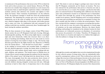From pornography<br>to the Bible

itself. This desire to seek out danger is perhaps most clear in the fact that FC Bergman consistently opt for theatre on location. The location selected for the performance then proves to function not only as a co-actor but also as a co-creator. For example, a production that takes place on a deserted beach in Terschelling tells a different story than the exact same performance located in an industrial zone in Amsterdam. No matter how thorough the concept of the performance has been worked out in advance, until FC Bergman arrive on location nothing is set in stone and everything can and must be re-examined. In their case this is usually only four weeks or so before the actual premiere. Therefore, touring with the company is synonymous recreating their productions. At the end of a tour, the result of this approach is a broad range of variations on the same performance. However, the classic theatre building could perhaps be considered as the ultimate location for their performances as it inherently possesses an abundance of conventions that possess the potential to be broken. Therefore, FC Bergman also use the theatre as a location and employ it in a fashion that might provoke the audience to change the way they think.

Although the seventies and eighties have served as inspirational decades for this collective group of young artists, they are undoubtedly influenced by contemporary culture as well. This is reflected not only in the collage-like structure of their performances but also in the eclectic array of their sources of inspiration from Albert Camus to Walt Disney, from Lars von Trier to Pina Bausch, from pornography to the Bible and everything in between. FC Bergman display the excessive flow characteristic

is reminiscent of the performances that arose in the 1970s in which the body and its direct presence were central themes. However, FC Bergman does not consider these dangerous moments as a sole resource but incorporates them as small disruptive explosions within a well-defined aesthetic universe that references the seventies and eighties in their desire for beauty. These 'moments of performance' are the outbursts of life, the instinctive attempts to break free from the predetermined framework. The alienating *flou artistique* gets torn to shreds by direct authenticity, not in the sense of realism, but in the sense of truthfulness: whatever happens takes place in the present, with bodies present and it comes very close. In combination with and contrasted by the sublime world that was carefully constructed, these 'breakthroughs' hit hard, leaving the audience speechless.

What do these moments of true danger consist of then? What immediately catches the eye is FC Bergman's bold style of acting. Although, dramaturgically speaking, *The Homecoming* might impose a seemingly tight and strict framework, within this structure there is an abundance of smoking and drinking, which does not only result in a looser manner of acting but even renders it sloppy or *edgy*. The laconic stage direction prescribed for the fights between the characters in *Walking down the Champs-Elysées* — 'beat the hell out of each other' — resulted in the yielding of several bruises and wounded limbs. In addition to this raw, physical approach to acting, the innate desire to break free is revealed in the other stylistic choices made, such as working with animals, children, and amateurs. The bestial scenes in *Walking down the Champs-Elysées* caused outrage amongst the audience but the unpredictability of the animal 'actors' did bring forth the desired factor of risk. The mass choreography from this same production shows dozens of extras attempting to collectively complete a dance phrase, with sevenyear-old children dancing alongside seventy-year-old men. Although synchrony is hard to find, what is of importance here is the attempt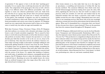After twenty minutes or so, they make their way on to the stage for an apocalypse; a crumbling and destruction of civilian life that has become sterilised. The enormous billboard, from which iconic hero Arnold Schwarzenegger had been looking down upon the salon, falls down, signifying the end of an era. The new world is as empty as the previous world was crowded. It is left bare and washed clean by the industrial machine that now forms a protective circle made of soap bubbles around the new order of things. Humankind must start anew. There is one remaining survivor (Stef Aerts) who in his now seemingly ridiculous costume has seen all the achievements that he believed in disappear. What now? Is humankind free to determine their own future? Or does the past force them to repeat themself? These are the questions that form the common thread throughout FC Bergman's oeuvre.

In 2013 FC Bergman collaborated with Liesa van der Aa from Muziektheater Transparant and Solistenensemble Kaleidsokop (DE) to produce the impressive music-theatre project named *About Reynard the Fox (Van den Vos)*.**<sup>2</sup>** This production is a magnificent allegory about the evil that is inherent within every human being and the sneaky fox that lives within each well-behaved civilian. It is no surprise that the symbolic gathering place of the bourgeois must therefore be changed: the company had the parterre of the theatre transformed completely and turned it into a marble swimming pool, around which the actors performed. The audience were seated in the balconies looking down at this spectacle of self-revelation. About Reynard the Fox is 'total theatre' in which text, performing arts, video art, and music seamlessly blend.

of generation Y who appear to have it all with their 'anything goes' mentality. It is no surprise that a world map decorates the wall of their studio. The composition of the group gives this away as well: a diverse range of six different artists with different personalities who come together to create one collective performance each year. Aside from the work they do as a group, they all have their own personal ongoing projects ranging from film and visual arts to theatre and television. At first glance, this multitude of impulses can only be considered as a fruitful contribution to their work. However, this combination of different personalities and careers can at times be explosive. FC Bergman snatch up every opportunity that presents itself to them, not in a deliberate or careful way, but rather an eager and insatiable one.

With their *Terminator Trilogy (Terminator Trilogie,* 2012*)*, FC Bergman take their audience on a journey with a dynamic and unique event that boasts a scale of nearly unrealistic magnitude. This is caused by their choice to work with non-professionals as well as their decision to repeatedly perform on location. Buses transport the spectators to a vast and desolate grey field that stretches as far as the eye can see, deep in the port of Antwerp. Once they have arrived, the audience witnesses container ships towering as high as skyscrapers seemingly walking by and majestically gliding hundreds of metres away from the dock. Futuristic-looking cranes rise up against the evening twilight, resembling the set of James Cameron's *Terminator* film series after which this performance was named. In several respects, this performance concerns itself with the notion of the future. It is against this backdrop of industry and world trade, of capitalism and commerce, unstoppable growth and progress, that FC Bergman choose to place the hedonistic culture that is derived from it. Reaching out across this asphalt desert, the viewer finds an artificial bourgeois salon that stages about fifty extras of all ages dressed up in evening wear. **2.** *Van den Vos* is based on the well know Dutch Middle Age epic *Van den Vos Reynaerde*

<sup>(</sup>About Reynard the Fox).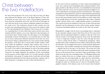In *The Land of Nod* art transforms, in both a literal and metaphorical sense, into a safe haven for humankind and its inherent frailness. Once again, just like in *About Reynard the Fox*, it is remarkable how meticulously the content and style concur, how the grand existential struggle for survival is embodied in even grander gestures and dimensions. The impact of spatiality in this performance cannot be underestimated and demands to be discussed. The dominant thirty-year reign of the small theatre hall has not only caused theatre artists but the audience as well to forget what it can actually mean to be led into a grand space that is able to embody another universe before even a single dramatic gesture is performed. The contrast between the smallness of the actor (or that of the spectator themself) and the dimensions of such a lofty location speaks volumes: it measures humankind against the world, not the other way around.

Humankind's struggle with the forces surrounding them is embodied by the somewhat unlucky restorer (Stef Aerts) who in *The Land of Nod*  assesses that the painting by Rubens is simply too big: the work of art will not be able to fit through the gateway of the room. He undertakes a series of tragicomic attempts to get the canvas through the doors — such as sawing off the frame or widening the passageway. These attempts form a layer of slapstick on the surface of the production. What lies beneath is an investigation that aims to understand the significance of this space, what possible meanings this museum hall encompasses — whether that be in the past or in the future. The actual star of the play *The Land of Nod* is the Rubens hall itself, which transforms before the eyes of the spectator from a real space (where people gather to find shelter from the rain) into a metaphoric place. FC Bergman defines this place as a shelter from war, as a refugee camp, as a place for individual reflection, but most importantly as a space that lives and breathes. The museum is not museum-like at all: life storms in and out, and through the walls, as it should, just as it does in a beautifully choreographed variation of the famous scene in the Louvre from Godard's

For their 2015 production *The Land of Nod (Het land Nod)*, FC Bergman replicated the Rubens room of the Royal Museum of Fine Arts in Antwerp: an exact copy, true to scale. The prestigious museum has been closed for restauration since 2011 and *The Land of Nod* begins its story when the throne room is almost completely stripped of its impressive works of art. The technicians dressed in blue overalls carry the second to last remaining painting out of the room as the audience walks in. The only painting left now is Rubens' *Christ between the two malefactors*, a painting that is of such a Herculean nature and has such a monumental symbolic radiance, it is a copy. Opposed to this masterpiece in an enormous space, human beings can only appear to be meaningless and humble creatures. Furthermore, it is noticeable that over time that the six artists continuously obliterate themselves from their own work. In *Terminator Trilogy*, a naked man lies on a vast concrete surface (during the premiere of the show this occurred under terrible weather conditions) whilst the indifferent container ships continue their course in the background of the scenery. In the same way, the six performers in *The Land of Nod* walk by and disappear in front of the giant painting as if they were merely accidental passers-by. They do not embody any 'characters' but simply emphasise the grandeur of their surroundings via the presence of their fragile bodies. It is in itself a paradox of pride and humility: what group of (young) artists would dare ask such high productional demands from their theatre production company, only to allow themselves to disappear in front of their self-absorbed set?

#### Christ between the two malefactors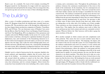a cinema, and a convenience store. Throughout the performance, the audience witnesses the continuous transformation of the tower at the hands of the technicians. In the meantime, the two camerapersons are focused on capturing the main storyline. They move around the actors with their mobile cameras and the footage is assembled live from the control booth. The audience is divided into groups across the four seating sections that surround *the building*, causing some information to be hidden from the spectator depending on where they are seated. Different storylines develop simultaneously on each floor: the spectator is able to follow some of these stories directly from their seat, whilst others are taking place on the other side of *the building*, out of their eyesight. These narratives are then streamed onto the closed blinds of that particular floor. This implies that the audience must work to follow the story and keep up since both content and style are constantly in development. Whoever follows the 'film' however, will be able to grasp the main storylines of the plot.

*JR* is another example in which content and style complement each other perfectly. This causes the text to receive another status than it would within classic repertoire theatre. The language, the jargon, and the content of the text are truly like a maze. It is not of importance that the audience understands each word. In contrary, it is the content and the way in which the text is delivered that, together with the stylistic format of the performance, allows the audience to truly grasp and feel this rogue capitalism. In this way, the dialogues about life in the stock market pass by rapidly. At certain moments, the text, just like the main character, is an elusive machine. This allows the text to take on a complementary role and place the spectator in front of closed doors in the same way that the decor does. By breaking free from an overly narrated tale and by choosing to evoke this associative and atmospheric space through images, FC Bergman is able to break with the traditional conventions that mark the boundary between film and theatre.

*Bande à part*. In a nutshell, *The Land of Nod* contains everything FC Bergman stands for: the illustration of a tragic world view expressed in monumental style and spirited by the energy of the six young artists who, now grown up, have not yet lost an ounce of their refreshing radicality.

After a series of wordless productions and three years of a creative break, FC Bergman bring forth the kaleidoscopic textually based performance *JR*. This production came to life through the collaboration of the three largest theatre production companies in Flanders: Toneelhuis, KVS, and NTGent. The cast showcases some of Flanders' best actors like Jan Bijvoet, Stijn Van Opstal, Oscar van Rompay, Frank Focketeyn, and Geert Van Rampelberg. *JR* is an adaptation of the eponymous and complex cult novel by William Gaddis. In the novel, U.S. society of the mid-seventies is laid bare, showing how capitalism facilitates the greed, helplessness, lust, and resentment of the floundering characters in it. In this world of stock magnates and stock traders, an eleven-year-old boy appears onto the stage, only to play the stock exchange game more consistently and more radically than anyone else, consequently destabilising the entire system. JR is a phantom, an allegorical character. He is the elusive engine that fuels the downfall of the real people that surround him.

Gladdis' novel is a kind of intersection for the corporate, familial, relational, political, and imperialistic subplots that all receive their own space in *the building* — an enormous construction that is four storeys tall, around which the audience is seated on the four sides. Moving within this tower are fifteen actors, twenty-one extras, two camerapersons, four technicians, and two costume designers. About twenty-five rooms have been installed in the tower including a lift, a metro station,

## The building